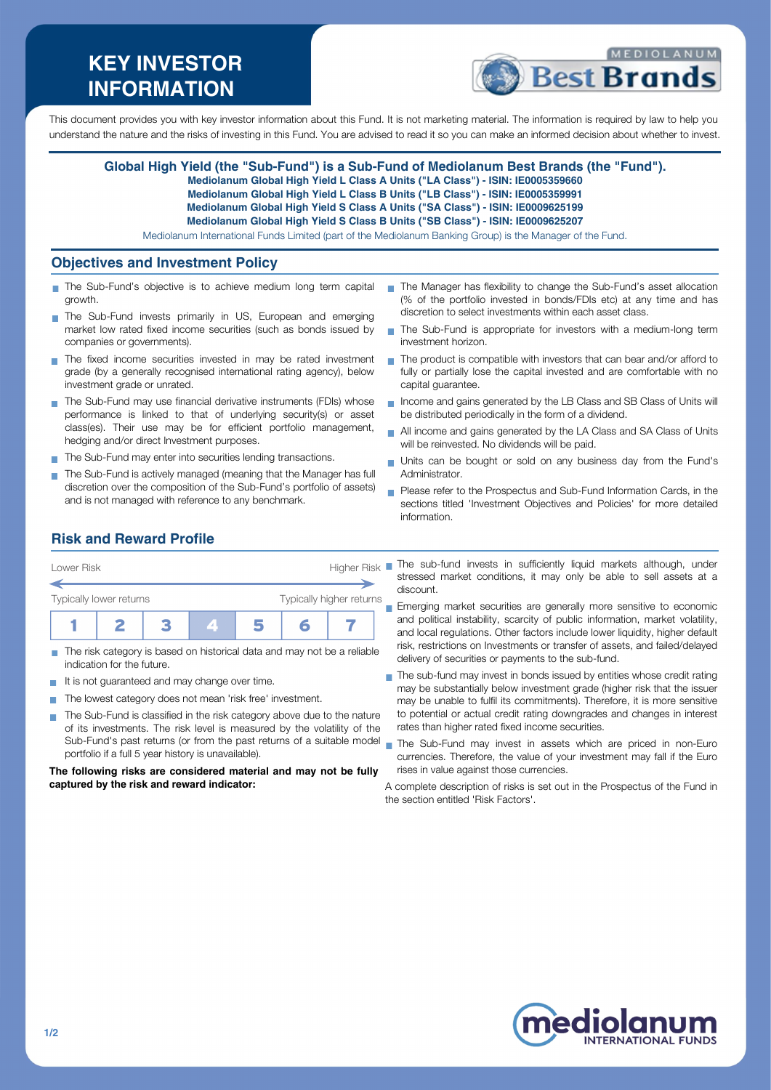# **KEY INVESTOR INFORMATION**



This document provides you with key investor information about this Fund. It is not marketing material. The information is required by law to help you understand the nature and the risks of investing in this Fund. You are advised to read it so you can make an informed decision about whether to invest.

#### **Global High Yield (the "Sub-Fund") is a Sub-Fund of Mediolanum Best Brands (the "Fund").**

**Mediolanum Global High Yield L Class A Units ("LA Class") - ISIN: IE0005359660**

- **Mediolanum Global High Yield L Class B Units ("LB Class") ISIN: IE0005359991**
- **Mediolanum Global High Yield S Class A Units ("SA Class") ISIN: IE0009625199**
- **Mediolanum Global High Yield S Class B Units ("SB Class") ISIN: IE0009625207**

Mediolanum International Funds Limited (part of the Mediolanum Banking Group) is the Manager of the Fund.

#### **Objectives and Investment Policy**

- The Sub-Fund's objective is to achieve medium long term capital growth.
- The Sub-Fund invests primarily in US, European and emerging market low rated fixed income securities (such as bonds issued by companies or governments).
- The fixed income securities invested in may be rated investment grade (by a generally recognised international rating agency), below investment grade or unrated.
- The Sub-Fund may use financial derivative instruments (FDIs) whose performance is linked to that of underlying security(s) or asset class(es). Their use may be for efficient portfolio management, hedging and/or direct Investment purposes.
- The Sub-Fund may enter into securities lending transactions.
- The Sub-Fund is actively managed (meaning that the Manager has full discretion over the composition of the Sub-Fund's portfolio of assets) and is not managed with reference to any benchmark.
- The Manager has flexibility to change the Sub-Fund's asset allocation (% of the portfolio invested in bonds/FDIs etc) at any time and has discretion to select investments within each asset class.
- $\mathcal{L}_{\mathcal{A}}$ The Sub-Fund is appropriate for investors with a medium-long term investment horizon.
- The product is compatible with investors that can bear and/or afford to  $\mathcal{L}_{\mathcal{A}}$ fully or partially lose the capital invested and are comfortable with no capital guarantee.
- Income and gains generated by the LB Class and SB Class of Units will be distributed periodically in the form of a dividend.
- All income and gains generated by the LA Class and SA Class of Units will be reinvested. No dividends will be paid.
- Units can be bought or sold on any business day from the Fund's  $\overline{\phantom{a}}$ Administrator.
- **Please refer to the Prospectus and Sub-Fund Information Cards, in the** sections titled 'Investment Objectives and Policies' for more detailed information.

## **Risk and Reward Profile**



- The risk category is based on historical data and may not be a reliable П indication for the future.
- It is not guaranteed and may change over time.
- The lowest category does not mean 'risk free' investment. **COL**
- The Sub-Fund is classified in the risk category above due to the nature  $\sim$ of its investments. The risk level is measured by the volatility of the Sub-Fund's past returns (or from the past returns of a suitable model portfolio if a full 5 year history is unavailable).

**The following risks are considered material and may not be fully captured by the risk and reward indicator:**

The sub-fund invests in sufficiently liquid markets although, under stressed market conditions, it may only be able to sell assets at a discount.

Emerging market securities are generally more sensitive to economic and political instability, scarcity of public information, market volatility, and local regulations. Other factors include lower liquidity, higher default risk, restrictions on Investments or transfer of assets, and failed/delayed delivery of securities or payments to the sub-fund.

- The sub-fund may invest in bonds issued by entities whose credit rating ÷ may be substantially below investment grade (higher risk that the issuer may be unable to fulfil its commitments). Therefore, it is more sensitive to potential or actual credit rating downgrades and changes in interest rates than higher rated fixed income securities.
- The Sub-Fund may invest in assets which are priced in non-Euro currencies. Therefore, the value of your investment may fall if the Euro rises in value against those currencies.

A complete description of risks is set out in the Prospectus of the Fund in the section entitled 'Risk Factors'.